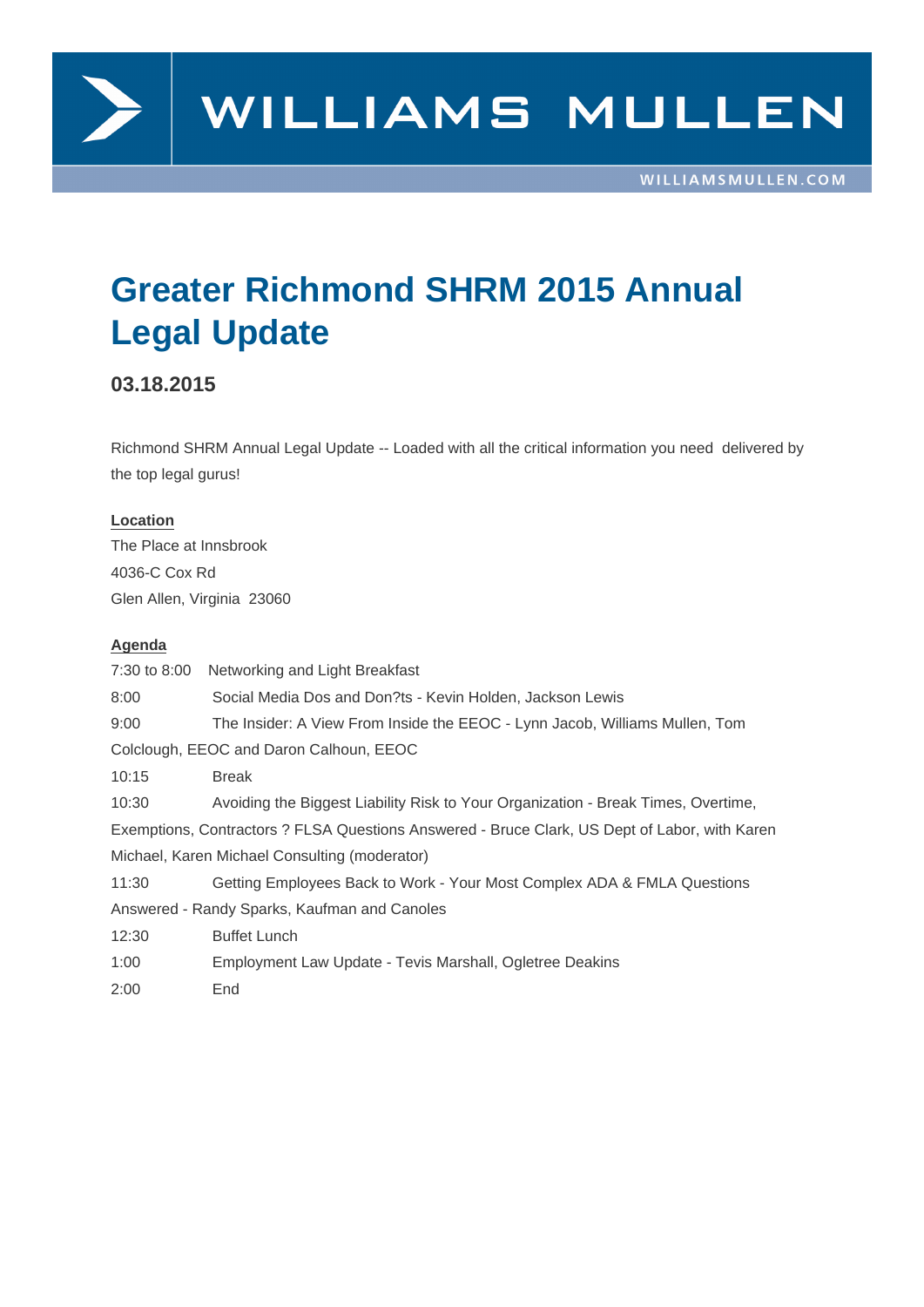

# **Greater Richmond SHRM 2015 Annual Legal Update**

### **03.18.2015**

Richmond SHRM Annual Legal Update -- Loaded with all the critical information you need delivered by the top legal gurus!

#### **Location**

The Place at Innsbrook 4036-C Cox Rd Glen Allen, Virginia 23060

#### **Agenda**

7:30 to 8:00 Networking and Light Breakfast 8:00 Social Media Dos and Don?ts - Kevin Holden, Jackson Lewis 9:00 The Insider: A View From Inside the EEOC - Lynn Jacob, Williams Mullen, Tom Colclough, EEOC and Daron Calhoun, EEOC 10:15 Break 10:30 Avoiding the Biggest Liability Risk to Your Organization - Break Times, Overtime, Exemptions, Contractors ? FLSA Questions Answered - Bruce Clark, US Dept of Labor, with Karen Michael, Karen Michael Consulting (moderator) 11:30 Getting Employees Back to Work - Your Most Complex ADA & FMLA Questions Answered - Randy Sparks, Kaufman and Canoles 12:30 Buffet Lunch 1:00 Employment Law Update - Tevis Marshall, Ogletree Deakins 2:00 End